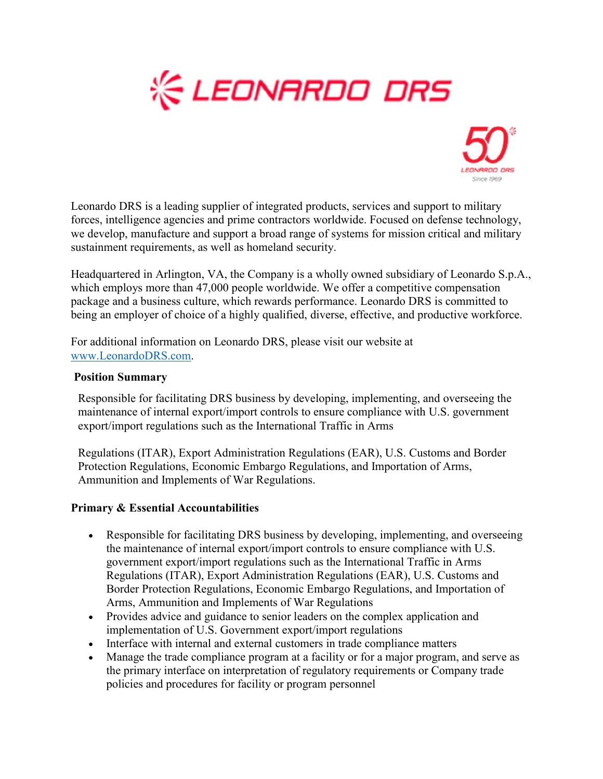



Leonardo DRS is a leading supplier of integrated products, services and support to military forces, intelligence agencies and prime contractors worldwide. Focused on defense technology, we develop, manufacture and support a broad range of systems for mission critical and military sustainment requirements, as well as homeland security.

Headquartered in Arlington, VA, the Company is a wholly owned subsidiary of Leonardo S.p.A., which employs more than 47,000 people worldwide. We offer a competitive compensation package and a business culture, which rewards performance. Leonardo DRS is committed to being an employer of choice of a highly qualified, diverse, effective, and productive workforce.

For additional information on Leonardo DRS, please visit our website at www.LeonardoDRS.com.

### **Position Summary**

Responsible for facilitating DRS business by developing, implementing, and overseeing the maintenance of internal export/import controls to ensure compliance with U.S. government export/import regulations such as the International Traffic in Arms

Regulations (ITAR), Export Administration Regulations (EAR), U.S. Customs and Border Protection Regulations, Economic Embargo Regulations, and Importation of Arms, Ammunition and Implements of War Regulations.

### **Primary & Essential Accountabilities**

- Responsible for facilitating DRS business by developing, implementing, and overseeing the maintenance of internal export/import controls to ensure compliance with U.S. government export/import regulations such as the International Traffic in Arms Regulations (ITAR), Export Administration Regulations (EAR), U.S. Customs and Border Protection Regulations, Economic Embargo Regulations, and Importation of Arms, Ammunition and Implements of War Regulations
- Provides advice and guidance to senior leaders on the complex application and implementation of U.S. Government export/import regulations
- Interface with internal and external customers in trade compliance matters
- Manage the trade compliance program at a facility or for a major program, and serve as the primary interface on interpretation of regulatory requirements or Company trade policies and procedures for facility or program personnel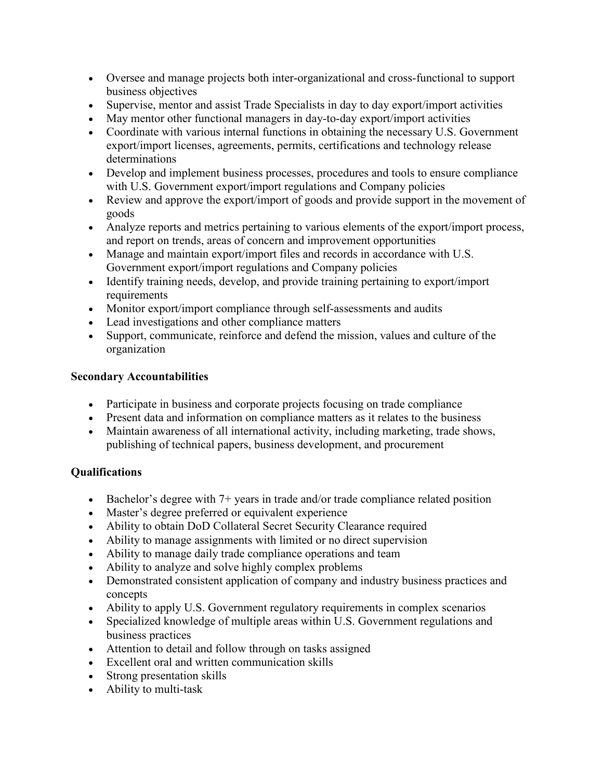- Oversee and manage projects both inter-organizational and cross-functional to support business objectives
- Supervise, mentor and assist Trade Specialists in day to day export/import activities
- May mentor other functional managers in day-to-day export/import activities
- Coordinate with various internal functions in obtaining the necessary U.S. Government export/import licenses, agreements, permits, certifications and technology release determinations
- Develop and implement business processes, procedures and tools to ensure compliance with U.S. Government export/import regulations and Company policies
- Review and approve the export/import of goods and provide support in the movement of goods
- Analyze reports and metrics pertaining to various elements of the export/import process, and report on trends, areas of concern and improvement opportunities
- Manage and maintain export/import files and records in accordance with U.S. Government export/import regulations and Company policies
- Identify training needs, develop, and provide training pertaining to export/import requirements
- Monitor export/import compliance through self-assessments and audits
- Lead investigations and other compliance matters
- Support, communicate, reinforce and defend the mission, values and culture of the organization

## **Secondary Accountabilities**

- Participate in business and corporate projects focusing on trade compliance
- Present data and information on compliance matters as it relates to the business
- Maintain awareness of all international activity, including marketing, trade shows, publishing of technical papers, business development, and procurement

# **Qualifications**

- Bachelor's degree with 7+ years in trade and/or trade compliance related position
- Master's degree preferred or equivalent experience
- Ability to obtain DoD Collateral Secret Security Clearance required
- Ability to manage assignments with limited or no direct supervision
- Ability to manage daily trade compliance operations and team
- Ability to analyze and solve highly complex problems
- Demonstrated consistent application of company and industry business practices and concepts
- Ability to apply U.S. Government regulatory requirements in complex scenarios
- Specialized knowledge of multiple areas within U.S. Government regulations and business practices
- Attention to detail and follow through on tasks assigned
- Excellent oral and written communication skills
- Strong presentation skills
- Ability to multi-task